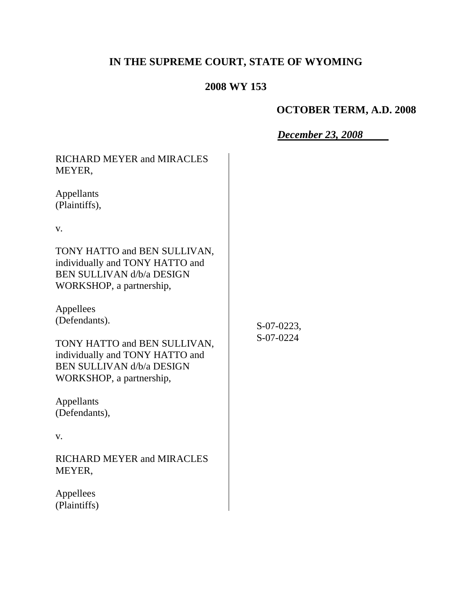# **IN THE SUPREME COURT, STATE OF WYOMING**

## **2008 WY 153**

# **OCTOBER TERM, A.D. 2008**

*December 23, 2008*

| RICHARD MEYER and MIRACLES<br>MEYER,                                                                                            |                         |
|---------------------------------------------------------------------------------------------------------------------------------|-------------------------|
| Appellants<br>(Plaintiffs),                                                                                                     |                         |
| V.                                                                                                                              |                         |
| TONY HATTO and BEN SULLIVAN,<br>individually and TONY HATTO and<br><b>BEN SULLIVAN d/b/a DESIGN</b><br>WORKSHOP, a partnership, | S-07-0223,<br>S-07-0224 |
| Appellees<br>(Defendants).                                                                                                      |                         |
| TONY HATTO and BEN SULLIVAN,<br>individually and TONY HATTO and<br><b>BEN SULLIVAN d/b/a DESIGN</b><br>WORKSHOP, a partnership, |                         |
| Appellants<br>(Defendants),                                                                                                     |                         |
| V.                                                                                                                              |                         |
| RICHARD MEYER and MIRACLES<br>MEYER,                                                                                            |                         |
| Appellees<br>(Plaintiffs)                                                                                                       |                         |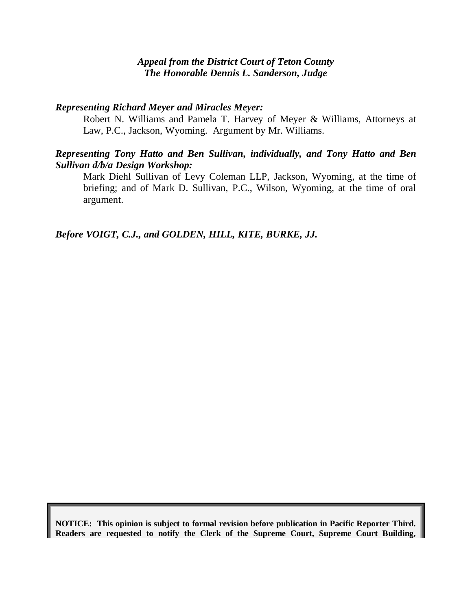#### *Appeal from the District Court of Teton County The Honorable Dennis L. Sanderson, Judge*

#### *Representing Richard Meyer and Miracles Meyer:*

Robert N. Williams and Pamela T. Harvey of Meyer & Williams, Attorneys at Law, P.C., Jackson, Wyoming. Argument by Mr. Williams.

#### *Representing Tony Hatto and Ben Sullivan, individually, and Tony Hatto and Ben Sullivan d/b/a Design Workshop:*

Mark Diehl Sullivan of Levy Coleman LLP, Jackson, Wyoming, at the time of briefing; and of Mark D. Sullivan, P.C., Wilson, Wyoming, at the time of oral argument.

*Before VOIGT, C.J., and GOLDEN, HILL, KITE, BURKE, JJ.*

**NOTICE: This opinion is subject to formal revision before publication in Pacific Reporter Third. Readers are requested to notify the Clerk of the Supreme Court, Supreme Court Building,**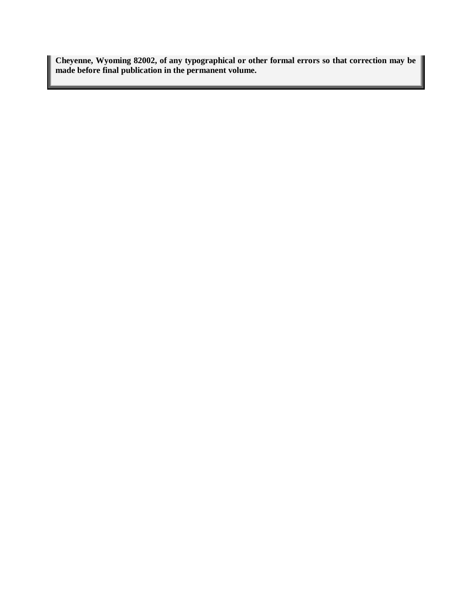**Cheyenne, Wyoming 82002, of any typographical or other formal errors so that correction may be made before final publication in the permanent volume.**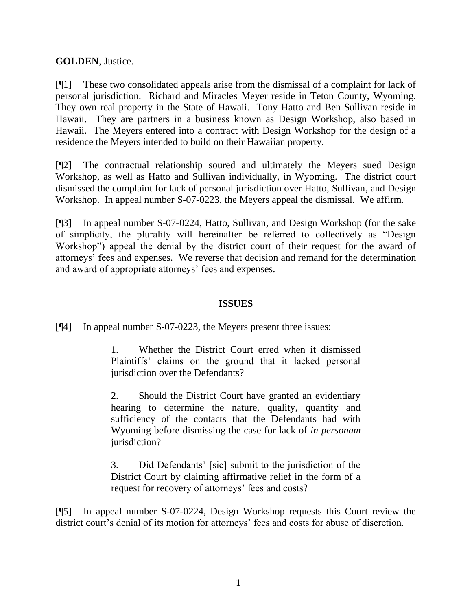## **GOLDEN**, Justice.

[¶1] These two consolidated appeals arise from the dismissal of a complaint for lack of personal jurisdiction. Richard and Miracles Meyer reside in Teton County, Wyoming. They own real property in the State of Hawaii. Tony Hatto and Ben Sullivan reside in Hawaii. They are partners in a business known as Design Workshop, also based in Hawaii. The Meyers entered into a contract with Design Workshop for the design of a residence the Meyers intended to build on their Hawaiian property.

[¶2] The contractual relationship soured and ultimately the Meyers sued Design Workshop, as well as Hatto and Sullivan individually, in Wyoming. The district court dismissed the complaint for lack of personal jurisdiction over Hatto, Sullivan, and Design Workshop. In appeal number S-07-0223, the Meyers appeal the dismissal. We affirm.

[¶3] In appeal number S-07-0224, Hatto, Sullivan, and Design Workshop (for the sake of simplicity, the plurality will hereinafter be referred to collectively as "Design Workshop") appeal the denial by the district court of their request for the award of attorneys" fees and expenses. We reverse that decision and remand for the determination and award of appropriate attorneys' fees and expenses.

## **ISSUES**

[¶4] In appeal number S-07-0223, the Meyers present three issues:

1. Whether the District Court erred when it dismissed Plaintiffs" claims on the ground that it lacked personal jurisdiction over the Defendants?

2. Should the District Court have granted an evidentiary hearing to determine the nature, quality, quantity and sufficiency of the contacts that the Defendants had with Wyoming before dismissing the case for lack of *in personam* jurisdiction?

3. Did Defendants" [sic] submit to the jurisdiction of the District Court by claiming affirmative relief in the form of a request for recovery of attorneys' fees and costs?

[¶5] In appeal number S-07-0224, Design Workshop requests this Court review the district court's denial of its motion for attorneys' fees and costs for abuse of discretion.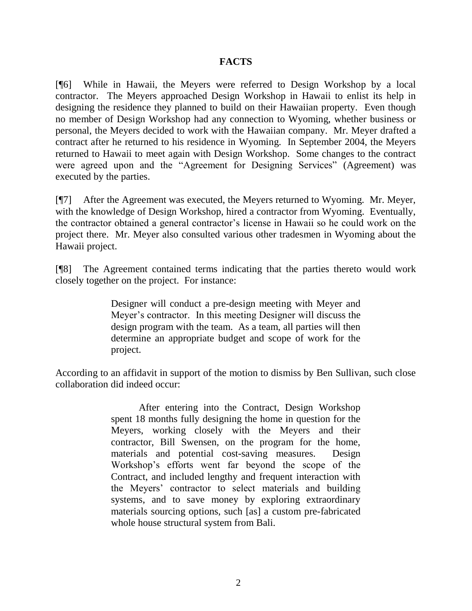#### **FACTS**

[¶6] While in Hawaii, the Meyers were referred to Design Workshop by a local contractor. The Meyers approached Design Workshop in Hawaii to enlist its help in designing the residence they planned to build on their Hawaiian property. Even though no member of Design Workshop had any connection to Wyoming, whether business or personal, the Meyers decided to work with the Hawaiian company. Mr. Meyer drafted a contract after he returned to his residence in Wyoming. In September 2004, the Meyers returned to Hawaii to meet again with Design Workshop. Some changes to the contract were agreed upon and the "Agreement for Designing Services" (Agreement) was executed by the parties.

[¶7] After the Agreement was executed, the Meyers returned to Wyoming. Mr. Meyer, with the knowledge of Design Workshop, hired a contractor from Wyoming. Eventually, the contractor obtained a general contractor"s license in Hawaii so he could work on the project there. Mr. Meyer also consulted various other tradesmen in Wyoming about the Hawaii project.

[¶8] The Agreement contained terms indicating that the parties thereto would work closely together on the project. For instance:

> Designer will conduct a pre-design meeting with Meyer and Meyer"s contractor. In this meeting Designer will discuss the design program with the team. As a team, all parties will then determine an appropriate budget and scope of work for the project.

According to an affidavit in support of the motion to dismiss by Ben Sullivan, such close collaboration did indeed occur:

> After entering into the Contract, Design Workshop spent 18 months fully designing the home in question for the Meyers, working closely with the Meyers and their contractor, Bill Swensen, on the program for the home, materials and potential cost-saving measures. Design Workshop"s efforts went far beyond the scope of the Contract, and included lengthy and frequent interaction with the Meyers" contractor to select materials and building systems, and to save money by exploring extraordinary materials sourcing options, such [as] a custom pre-fabricated whole house structural system from Bali.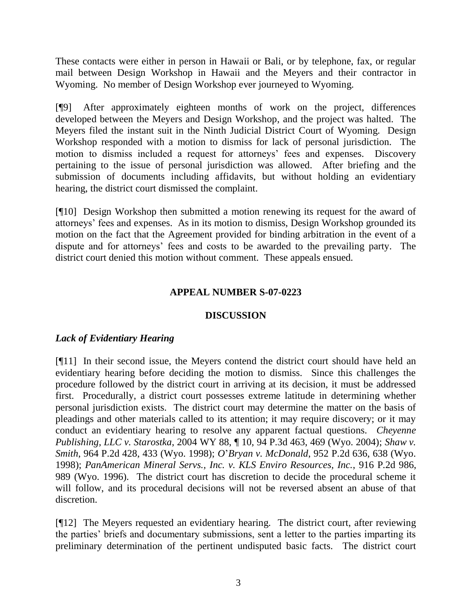These contacts were either in person in Hawaii or Bali, or by telephone, fax, or regular mail between Design Workshop in Hawaii and the Meyers and their contractor in Wyoming. No member of Design Workshop ever journeyed to Wyoming.

[¶9] After approximately eighteen months of work on the project, differences developed between the Meyers and Design Workshop, and the project was halted. The Meyers filed the instant suit in the Ninth Judicial District Court of Wyoming. Design Workshop responded with a motion to dismiss for lack of personal jurisdiction. The motion to dismiss included a request for attorneys' fees and expenses. Discovery pertaining to the issue of personal jurisdiction was allowed. After briefing and the submission of documents including affidavits, but without holding an evidentiary hearing, the district court dismissed the complaint.

[¶10] Design Workshop then submitted a motion renewing its request for the award of attorneys" fees and expenses. As in its motion to dismiss, Design Workshop grounded its motion on the fact that the Agreement provided for binding arbitration in the event of a dispute and for attorneys" fees and costs to be awarded to the prevailing party. The district court denied this motion without comment. These appeals ensued.

## **APPEAL NUMBER S-07-0223**

## **DISCUSSION**

## *Lack of Evidentiary Hearing*

[¶11] In their second issue, the Meyers contend the district court should have held an evidentiary hearing before deciding the motion to dismiss. Since this challenges the procedure followed by the district court in arriving at its decision, it must be addressed first. Procedurally, a district court possesses extreme latitude in determining whether personal jurisdiction exists.The district court may determine the matter on the basis of pleadings and other materials called to its attention; it may require discovery; or it may conduct an evidentiary hearing to resolve any apparent factual questions. *Cheyenne Publishing, LLC v. Starostka*, 2004 WY 88, ¶ 10, 94 P.3d 463, 469 (Wyo. 2004); *Shaw v. Smith*, 964 P.2d 428, 433 (Wyo. 1998); *O*"*Bryan v. McDonald*, 952 P.2d 636, 638 (Wyo. 1998); *PanAmerican Mineral Servs., Inc. v. KLS Enviro Resources, Inc.*, 916 P.2d 986, 989 (Wyo. 1996). The district court has discretion to decide the procedural scheme it will follow, and its procedural decisions will not be reversed absent an abuse of that discretion.

[¶12] The Meyers requested an evidentiary hearing. The district court, after reviewing the parties" briefs and documentary submissions, sent a letter to the parties imparting its preliminary determination of the pertinent undisputed basic facts. The district court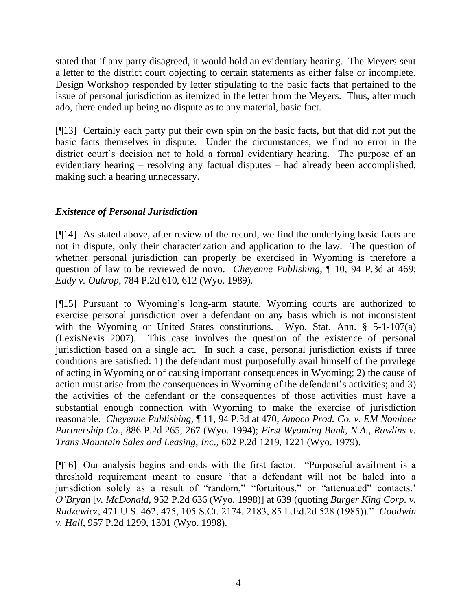stated that if any party disagreed, it would hold an evidentiary hearing. The Meyers sent a letter to the district court objecting to certain statements as either false or incomplete. Design Workshop responded by letter stipulating to the basic facts that pertained to the issue of personal jurisdiction as itemized in the letter from the Meyers. Thus, after much ado, there ended up being no dispute as to any material, basic fact.

[¶13] Certainly each party put their own spin on the basic facts, but that did not put the basic facts themselves in dispute. Under the circumstances, we find no error in the district court's decision not to hold a formal evidentiary hearing. The purpose of an evidentiary hearing – resolving any factual disputes – had already been accomplished, making such a hearing unnecessary.

## *Existence of Personal Jurisdiction*

[¶14] As stated above, after review of the record, we find the underlying basic facts are not in dispute, only their characterization and application to the law. The question of whether personal jurisdiction can properly be exercised in Wyoming is therefore a question of law to be reviewed de novo. *Cheyenne Publishing*, ¶ 10, 94 P.3d at 469; *Eddy v. Oukrop*, 784 P.2d 610, 612 (Wyo. 1989).

[¶15] Pursuant to Wyoming"s long-arm statute, Wyoming courts are authorized to exercise personal jurisdiction over a defendant on any basis which is not inconsistent with the Wyoming or United States constitutions. Wyo. Stat. Ann. § 5-1-107(a) (LexisNexis 2007). This case involves the question of the existence of personal jurisdiction based on a single act. In such a case, personal jurisdiction exists if three conditions are satisfied: 1) the defendant must purposefully avail himself of the privilege of acting in Wyoming or of causing important consequences in Wyoming; 2) the cause of action must arise from the consequences in Wyoming of the defendant's activities; and 3) the activities of the defendant or the consequences of those activities must have a substantial enough connection with Wyoming to make the exercise of jurisdiction reasonable. *Cheyenne Publishing*, ¶ 11, 94 P.3d at 470; *Amoco Prod. Co. v. EM Nominee Partnership Co*., 886 P.2d 265, 267 (Wyo. 1994); *First Wyoming Bank, N.A., Rawlins v. Trans Mountain Sales and Leasing, Inc*., 602 P.2d 1219, 1221 (Wyo. 1979).

[¶16] Our analysis begins and ends with the first factor. "Purposeful availment is a threshold requirement meant to ensure "that a defendant will not be haled into a jurisdiction solely as a result of "random," "fortuitous," or "attenuated" contacts." *O'Bryan* [*v. McDonald,* 952 P.2d 636 (Wyo. 1998)] at 639 (quoting *Burger King Corp. v. Rudzewicz*, 471 U.S. 462, 475, 105 S.Ct. 2174, 2183, 85 L.Ed.2d 528 (1985))." *Goodwin v. Hall*, 957 P.2d 1299, 1301 (Wyo. 1998).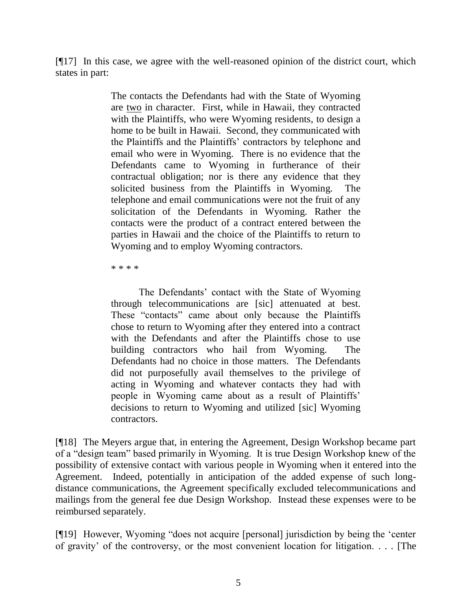[¶17] In this case, we agree with the well-reasoned opinion of the district court, which states in part:

> The contacts the Defendants had with the State of Wyoming are two in character. First, while in Hawaii, they contracted with the Plaintiffs, who were Wyoming residents, to design a home to be built in Hawaii. Second, they communicated with the Plaintiffs and the Plaintiffs" contractors by telephone and email who were in Wyoming. There is no evidence that the Defendants came to Wyoming in furtherance of their contractual obligation; nor is there any evidence that they solicited business from the Plaintiffs in Wyoming. The telephone and email communications were not the fruit of any solicitation of the Defendants in Wyoming. Rather the contacts were the product of a contract entered between the parties in Hawaii and the choice of the Plaintiffs to return to Wyoming and to employ Wyoming contractors.

\* \* \* \*

The Defendants' contact with the State of Wyoming through telecommunications are [sic] attenuated at best. These "contacts" came about only because the Plaintiffs chose to return to Wyoming after they entered into a contract with the Defendants and after the Plaintiffs chose to use building contractors who hail from Wyoming. The Defendants had no choice in those matters. The Defendants did not purposefully avail themselves to the privilege of acting in Wyoming and whatever contacts they had with people in Wyoming came about as a result of Plaintiffs" decisions to return to Wyoming and utilized [sic] Wyoming contractors.

[¶18] The Meyers argue that, in entering the Agreement, Design Workshop became part of a "design team" based primarily in Wyoming. It is true Design Workshop knew of the possibility of extensive contact with various people in Wyoming when it entered into the Agreement. Indeed, potentially in anticipation of the added expense of such longdistance communications, the Agreement specifically excluded telecommunications and mailings from the general fee due Design Workshop. Instead these expenses were to be reimbursed separately.

[¶19] However, Wyoming "does not acquire [personal] jurisdiction by being the "center of gravity" of the controversy, or the most convenient location for litigation. . . . [The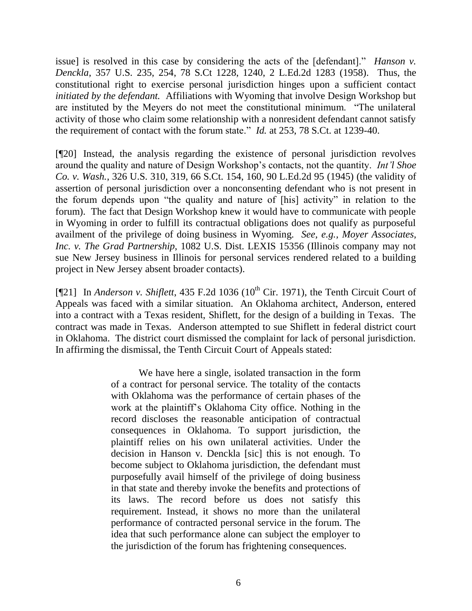issue] is resolved in this case by considering the acts of the [defendant]." *Hanson v. Denckla*, 357 U.S. 235, 254, 78 S.Ct 1228, 1240, 2 L.Ed.2d 1283 (1958). Thus, the constitutional right to exercise personal jurisdiction hinges upon a sufficient contact *initiated by the defendant.* Affiliations with Wyoming that involve Design Workshop but are instituted by the Meyers do not meet the constitutional minimum. "The unilateral activity of those who claim some relationship with a nonresident defendant cannot satisfy the requirement of contact with the forum state." *Id.* at 253, 78 S.Ct. at 1239-40.

[¶20] Instead, the analysis regarding the existence of personal jurisdiction revolves around the quality and nature of Design Workshop"s contacts, not the quantity. *Int'l Shoe Co. v. Wash.*, 326 U.S. 310, 319, 66 S.Ct. 154, 160, 90 L.Ed.2d 95 (1945) (the validity of assertion of personal jurisdiction over a nonconsenting defendant who is not present in the forum depends upon "the quality and nature of [his] activity" in relation to the forum). The fact that Design Workshop knew it would have to communicate with people in Wyoming in order to fulfill its contractual obligations does not qualify as purposeful availment of the privilege of doing business in Wyoming. *See, e.g., Moyer Associates, Inc. v. The Grad Partnership*, 1082 U.S. Dist. LEXIS 15356 (Illinois company may not sue New Jersey business in Illinois for personal services rendered related to a building project in New Jersey absent broader contacts).

[¶21] In *Anderson v. Shiflett*, 435 F.2d 1036 ( $10<sup>th</sup>$  Cir. 1971), the Tenth Circuit Court of Appeals was faced with a similar situation. An Oklahoma architect, Anderson, entered into a contract with a Texas resident, Shiflett, for the design of a building in Texas. The contract was made in Texas. Anderson attempted to sue Shiflett in federal district court in Oklahoma. The district court dismissed the complaint for lack of personal jurisdiction. In affirming the dismissal, the Tenth Circuit Court of Appeals stated:

> We have here a single, isolated transaction in the form of a contract for personal service. The totality of the contacts with Oklahoma was the performance of certain phases of the work at the plaintiff"s Oklahoma City office. Nothing in the record discloses the reasonable anticipation of contractual consequences in Oklahoma. To support jurisdiction, the plaintiff relies on his own unilateral activities. Under the decision in Hanson v. Denckla [sic] this is not enough. To become subject to Oklahoma jurisdiction, the defendant must purposefully avail himself of the privilege of doing business in that state and thereby invoke the benefits and protections of its laws. The record before us does not satisfy this requirement. Instead, it shows no more than the unilateral performance of contracted personal service in the forum. The idea that such performance alone can subject the employer to the jurisdiction of the forum has frightening consequences.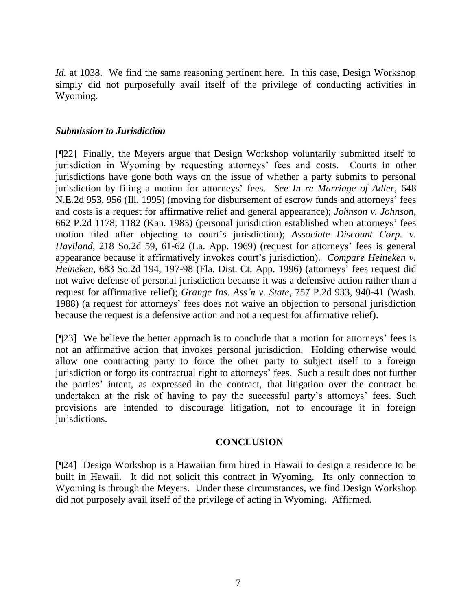*Id.* at 1038. We find the same reasoning pertinent here. In this case, Design Workshop simply did not purposefully avail itself of the privilege of conducting activities in Wyoming.

#### *Submission to Jurisdiction*

[¶22] Finally, the Meyers argue that Design Workshop voluntarily submitted itself to jurisdiction in Wyoming by requesting attorneys" fees and costs. Courts in other jurisdictions have gone both ways on the issue of whether a party submits to personal jurisdiction by filing a motion for attorneys" fees. *See In re Marriage of Adler*, 648 N.E.2d 953, 956 (Ill. 1995) (moving for disbursement of escrow funds and attorneys" fees and costs is a request for affirmative relief and general appearance); *Johnson v. Johnson*, 662 P.2d 1178, 1182 (Kan. 1983) (personal jurisdiction established when attorneys" fees motion filed after objecting to court's jurisdiction); *Associate Discount Corp. v. Haviland*, 218 So.2d 59, 61-62 (La. App. 1969) (request for attorneys' fees is general appearance because it affirmatively invokes court's jurisdiction). *Compare Heineken v. Heineken*, 683 So.2d 194, 197-98 (Fla. Dist. Ct. App. 1996) (attorneys" fees request did not waive defense of personal jurisdiction because it was a defensive action rather than a request for affirmative relief); *Grange Ins. Ass'n v. State*, 757 P.2d 933, 940-41 (Wash. 1988) (a request for attorneys" fees does not waive an objection to personal jurisdiction because the request is a defensive action and not a request for affirmative relief).

[¶23] We believe the better approach is to conclude that a motion for attorneys" fees is not an affirmative action that invokes personal jurisdiction. Holding otherwise would allow one contracting party to force the other party to subject itself to a foreign jurisdiction or forgo its contractual right to attorneys' fees. Such a result does not further the parties" intent, as expressed in the contract, that litigation over the contract be undertaken at the risk of having to pay the successful party's attorneys' fees. Such provisions are intended to discourage litigation, not to encourage it in foreign jurisdictions.

#### **CONCLUSION**

[¶24] Design Workshop is a Hawaiian firm hired in Hawaii to design a residence to be built in Hawaii. It did not solicit this contract in Wyoming. Its only connection to Wyoming is through the Meyers. Under these circumstances, we find Design Workshop did not purposely avail itself of the privilege of acting in Wyoming. Affirmed.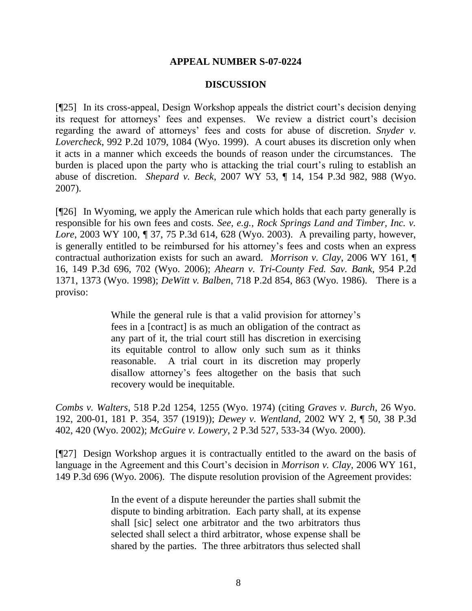#### **APPEAL NUMBER S-07-0224**

#### **DISCUSSION**

[¶25] In its cross-appeal, Design Workshop appeals the district court's decision denying its request for attorneys' fees and expenses. We review a district court's decision regarding the award of attorneys' fees and costs for abuse of discretion. *Snyder v. Lovercheck*, 992 P.2d 1079, 1084 (Wyo. 1999). A court abuses its discretion only when it acts in a manner which exceeds the bounds of reason under the circumstances. The burden is placed upon the party who is attacking the trial court's ruling to establish an abuse of discretion. *Shepard v. Beck*, 2007 WY 53, ¶ 14, 154 P.3d 982, 988 (Wyo. 2007).

[¶26] In Wyoming, we apply the American rule which holds that each party generally is responsible for his own fees and costs. *See, e.g., Rock Springs Land and Timber, Inc. v. Lore*, 2003 WY 100, ¶ 37, 75 P.3d 614, 628 (Wyo. 2003). A prevailing party, however, is generally entitled to be reimbursed for his attorney"s fees and costs when an express contractual authorization exists for such an award. *Morrison v. Clay*, 2006 WY 161, ¶ 16, 149 P.3d 696, 702 (Wyo. 2006); *Ahearn v. Tri-County Fed. Sav. Bank*, 954 P.2d 1371, 1373 (Wyo. 1998); *DeWitt v. Balben*, 718 P.2d 854, 863 (Wyo. 1986). There is a proviso:

> While the general rule is that a valid provision for attorney's fees in a [contract] is as much an obligation of the contract as any part of it, the trial court still has discretion in exercising its equitable control to allow only such sum as it thinks reasonable. A trial court in its discretion may properly disallow attorney's fees altogether on the basis that such recovery would be inequitable.

*Combs v. Walters*, 518 P.2d 1254, 1255 (Wyo. 1974) (citing *Graves v. Burch*, 26 Wyo. 192, 200-01, 181 P. 354, 357 (1919)); *Dewey v. Wentland*, 2002 WY 2, ¶ 50, 38 P.3d 402, 420 (Wyo. 2002); *McGuire v. Lowery*, 2 P.3d 527, 533-34 (Wyo. 2000).

[¶27] Design Workshop argues it is contractually entitled to the award on the basis of language in the Agreement and this Court's decision in *Morrison v. Clay*, 2006 WY 161, 149 P.3d 696 (Wyo. 2006). The dispute resolution provision of the Agreement provides:

> In the event of a dispute hereunder the parties shall submit the dispute to binding arbitration. Each party shall, at its expense shall [sic] select one arbitrator and the two arbitrators thus selected shall select a third arbitrator, whose expense shall be shared by the parties. The three arbitrators thus selected shall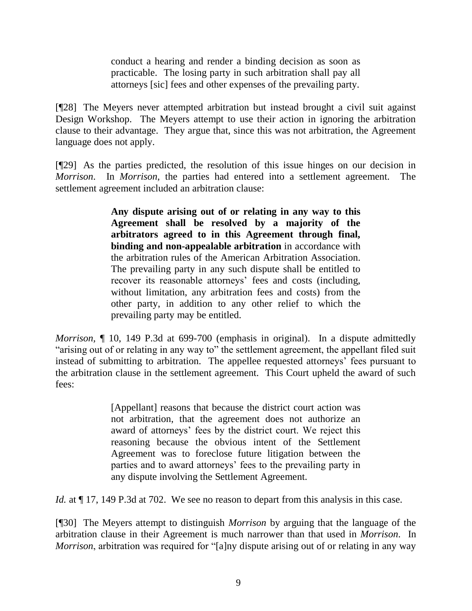conduct a hearing and render a binding decision as soon as practicable. The losing party in such arbitration shall pay all attorneys [sic] fees and other expenses of the prevailing party.

[¶28] The Meyers never attempted arbitration but instead brought a civil suit against Design Workshop. The Meyers attempt to use their action in ignoring the arbitration clause to their advantage. They argue that, since this was not arbitration, the Agreement language does not apply.

[¶29] As the parties predicted, the resolution of this issue hinges on our decision in *Morrison*. In *Morrison*, the parties had entered into a settlement agreement. The settlement agreement included an arbitration clause:

> **Any dispute arising out of or relating in any way to this Agreement shall be resolved by a majority of the arbitrators agreed to in this Agreement through final, binding and non-appealable arbitration** in accordance with the arbitration rules of the American Arbitration Association. The prevailing party in any such dispute shall be entitled to recover its reasonable attorneys' fees and costs (including, without limitation, any arbitration fees and costs) from the other party, in addition to any other relief to which the prevailing party may be entitled.

*Morrison*,  $\parallel$  10, 149 P.3d at 699-700 (emphasis in original). In a dispute admittedly "arising out of or relating in any way to" the settlement agreement, the appellant filed suit instead of submitting to arbitration. The appellee requested attorneys' fees pursuant to the arbitration clause in the settlement agreement. This Court upheld the award of such fees:

> [Appellant] reasons that because the district court action was not arbitration, that the agreement does not authorize an award of attorneys' fees by the district court. We reject this reasoning because the obvious intent of the Settlement Agreement was to foreclose future litigation between the parties and to award attorneys' fees to the prevailing party in any dispute involving the Settlement Agreement.

*Id.* at  $\P$  17, 149 P.3d at 702. We see no reason to depart from this analysis in this case.

[¶30] The Meyers attempt to distinguish *Morrison* by arguing that the language of the arbitration clause in their Agreement is much narrower than that used in *Morrison*. In *Morrison*, arbitration was required for "[a]ny dispute arising out of or relating in any way